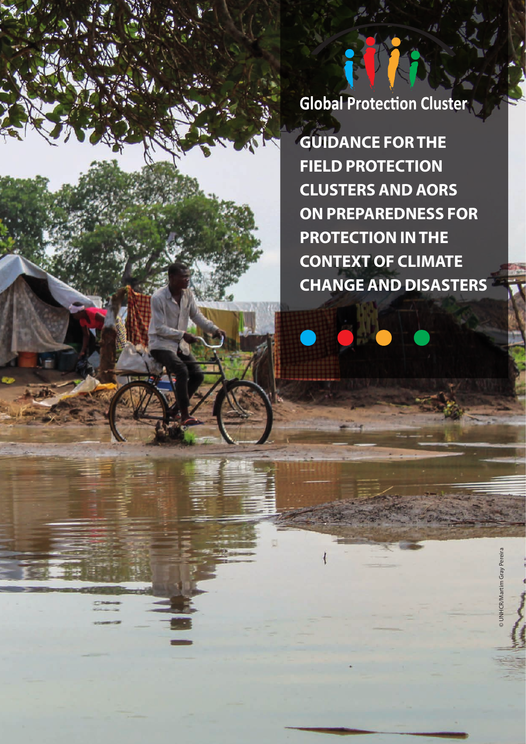**Global Protection Cluster** 

**GUIDANCE FOR THE FIELD PROTECTION CLUSTERS AND AORS ON PREPAREDNESS FOR PROTECTION IN THE CONTEXT OF CLIMATE CHANGE AND DISASTERS**

© UNHCR/Martim Gray Pereira

UNHCR/Martim Gray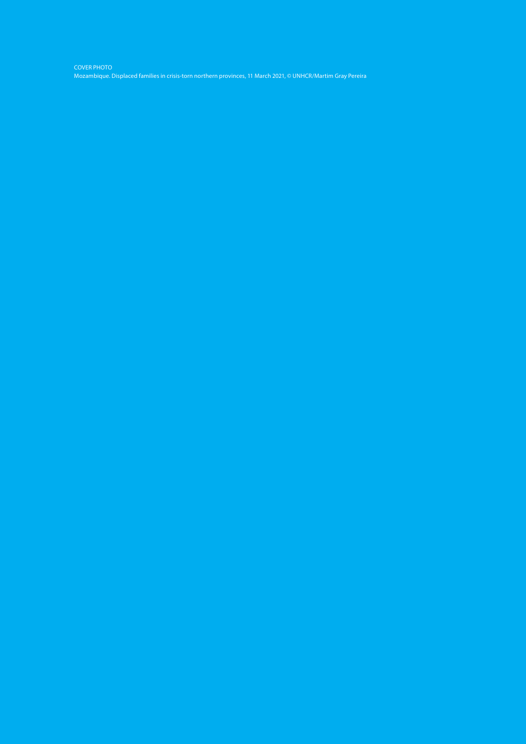COVER PHOTO Mozambique. Displaced families in crisis-torn northern provinces, 11 March 2021, © UNHCR/Martim Gray Pereira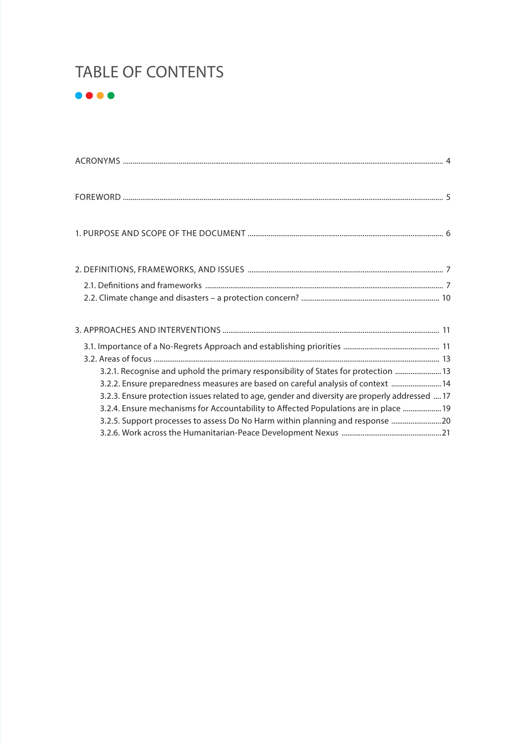## TABLE OF CONTENTS



| 3.2.1. Recognise and uphold the primary responsibility of States for protection  13<br>3.2.2. Ensure preparedness measures are based on careful analysis of context  14<br>3.2.3. Ensure protection issues related to age, gender and diversity are properly addressed  17<br>3.2.4. Ensure mechanisms for Accountability to Affected Populations are in place  19<br>3.2.5. Support processes to assess Do No Harm within planning and response  20 |  |
|------------------------------------------------------------------------------------------------------------------------------------------------------------------------------------------------------------------------------------------------------------------------------------------------------------------------------------------------------------------------------------------------------------------------------------------------------|--|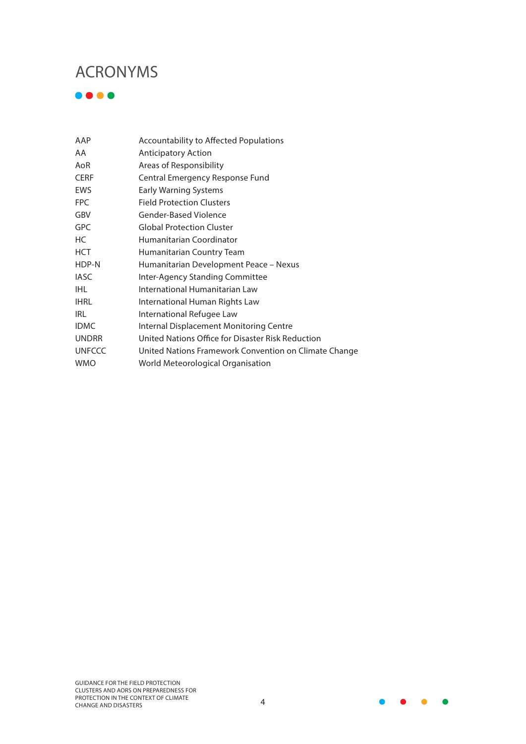## <span id="page-3-0"></span>ACRONYMS

 $\bullet\bullet\bullet\bullet$ 

| AAP           | Accountability to Affected Populations                |
|---------------|-------------------------------------------------------|
| AA            | <b>Anticipatory Action</b>                            |
| AoR           | Areas of Responsibility                               |
| <b>CERF</b>   | Central Emergency Response Fund                       |
| EWS           | <b>Early Warning Systems</b>                          |
| <b>FPC</b>    | <b>Field Protection Clusters</b>                      |
| GBV           | Gender-Based Violence                                 |
| <b>GPC</b>    | <b>Global Protection Cluster</b>                      |
| НC            | Humanitarian Coordinator                              |
| <b>HCT</b>    | Humanitarian Country Team                             |
| HDP-N         | Humanitarian Development Peace - Nexus                |
| <b>IASC</b>   | Inter-Agency Standing Committee                       |
| IHI           | International Humanitarian Law                        |
| <b>IHRL</b>   | International Human Rights Law                        |
| IRL           | International Refugee Law                             |
| <b>IDMC</b>   | Internal Displacement Monitoring Centre               |
| <b>UNDRR</b>  | United Nations Office for Disaster Risk Reduction     |
| <b>UNFCCC</b> | United Nations Framework Convention on Climate Change |
| <b>WMO</b>    | World Meteorological Organisation                     |
|               |                                                       |

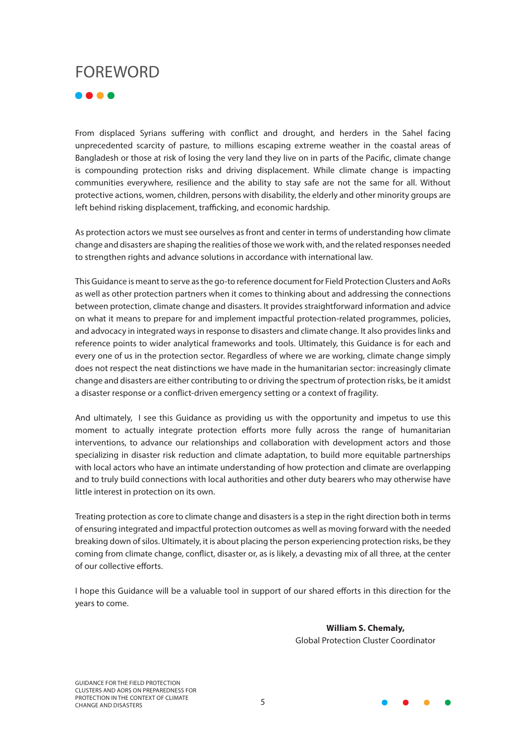# <span id="page-4-0"></span>FOREWORD

....

From displaced Syrians suffering with conflict and drought, and herders in the Sahel facing unprecedented scarcity of pasture, to millions escaping extreme weather in the coastal areas of Bangladesh or those at risk of losing the very land they live on in parts of the Pacific, climate change is compounding protection risks and driving displacement. While climate change is impacting communities everywhere, resilience and the ability to stay safe are not the same for all. Without protective actions, women, children, persons with disability, the elderly and other minority groups are left behind risking displacement, trafficking, and economic hardship.

As protection actors we must see ourselves as front and center in terms of understanding how climate change and disasters are shaping the realities of those we work with, and the related responses needed to strengthen rights and advance solutions in accordance with international law.

This Guidance is meant to serve as the go-to reference document for Field Protection Clusters and AoRs as well as other protection partners when it comes to thinking about and addressing the connections between protection, climate change and disasters. It provides straightforward information and advice on what it means to prepare for and implement impactful protection-related programmes, policies, and advocacy in integrated ways in response to disasters and climate change. It also provides links and reference points to wider analytical frameworks and tools. Ultimately, this Guidance is for each and every one of us in the protection sector. Regardless of where we are working, climate change simply does not respect the neat distinctions we have made in the humanitarian sector: increasingly climate change and disasters are either contributing to or driving the spectrum of protection risks, be it amidst a disaster response or a conflict-driven emergency setting or a context of fragility.

And ultimately, I see this Guidance as providing us with the opportunity and impetus to use this moment to actually integrate protection efforts more fully across the range of humanitarian interventions, to advance our relationships and collaboration with development actors and those specializing in disaster risk reduction and climate adaptation, to build more equitable partnerships with local actors who have an intimate understanding of how protection and climate are overlapping and to truly build connections with local authorities and other duty bearers who may otherwise have little interest in protection on its own.

Treating protection as core to climate change and disasters is a step in the right direction both in terms of ensuring integrated and impactful protection outcomes as well as moving forward with the needed breaking down of silos. Ultimately, it is about placing the person experiencing protection risks, be they coming from climate change, conflict, disaster or, as is likely, a devasting mix of all three, at the center of our collective efforts.

I hope this Guidance will be a valuable tool in support of our shared efforts in this direction for the years to come.

> **William S. Chemaly,**  Global Protection Cluster Coordinator

GUIDANCE FOR THE FIELD PROTECTION CLUSTERS AND AORS ON PREPAREDNESS FOR PROTECTION IN THE CONTEXT OF CLIMATE PROTECTION IN THE CONTEXT OF CLIMATE<br>CHANGE AND DISASTERS 5

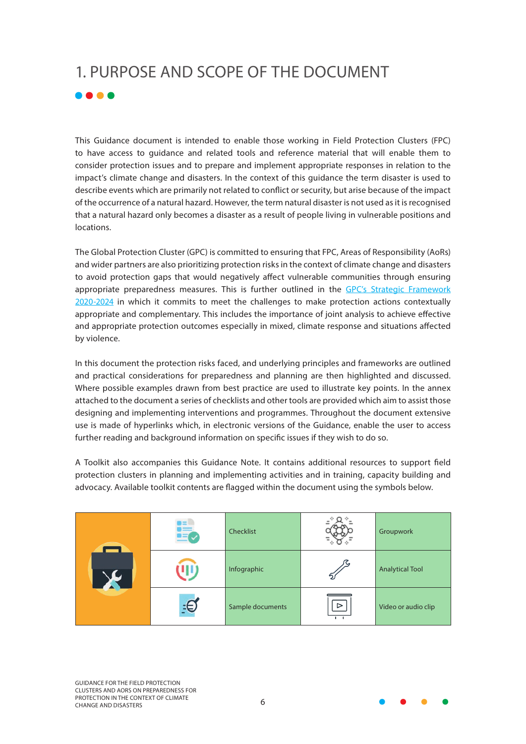# <span id="page-5-0"></span>1. PURPOSE AND SCOPE OF THE DOCUMENT  $\bullet\bullet\bullet\bullet$

This Guidance document is intended to enable those working in Field Protection Clusters (FPC) to have access to guidance and related tools and reference material that will enable them to consider protection issues and to prepare and implement appropriate responses in relation to the impact's climate change and disasters. In the context of this guidance the term disaster is used to describe events which are primarily not related to conflict or security, but arise because of the impact of the occurrence of a natural hazard. However, the term natural disaster is not used as it is recognised that a natural hazard only becomes a disaster as a result of people living in vulnerable positions and locations.

The Global Protection Cluster (GPC) is committed to ensuring that FPC, Areas of Responsibility (AoRs) and wider partners are also prioritizing protection risks in the context of climate change and disasters to avoid protection gaps that would negatively affect vulnerable communities through ensuring appropriate preparedness measures. This is further outlined in the GPC's [Strategic Framework](https://www.globalprotectioncluster.org/wp-content/uploads/GPC-Strategic-Framework_digital_version-1.pdf) [2020-2024](https://www.globalprotectioncluster.org/wp-content/uploads/GPC-Strategic-Framework_digital_version-1.pdf) in which it commits to meet the challenges to make protection actions contextually appropriate and complementary. This includes the importance of joint analysis to achieve effective and appropriate protection outcomes especially in mixed, climate response and situations affected by violence.

In this document the protection risks faced, and underlying principles and frameworks are outlined and practical considerations for preparedness and planning are then highlighted and discussed. Where possible examples drawn from best practice are used to illustrate key points. In the annex attached to the document a series of checklists and other tools are provided which aim to assist those designing and implementing interventions and programmes. Throughout the document extensive use is made of hyperlinks which, in electronic versions of the Guidance, enable the user to access further reading and background information on specific issues if they wish to do so.

A Toolkit also accompanies this Guidance Note. It contains additional resources to support field protection clusters in planning and implementing activities and in training, capacity building and advocacy. Available toolkit contents are flagged within the document using the symbols below.

| - 10 | Checklist        |                                    | Groupwork              |
|------|------------------|------------------------------------|------------------------|
|      | Infographic      |                                    | <b>Analytical Tool</b> |
| ⊧€   | Sample documents | $\triangleright$<br>$\overline{1}$ | Video or audio clip    |

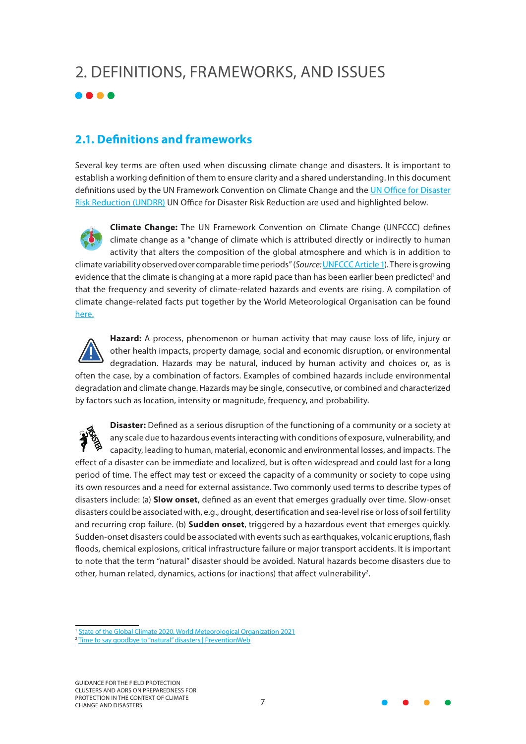# <span id="page-6-0"></span>2. DEFINITIONS, FRAMEWORKS, AND ISSUES



## **2.1. Definitions and frameworks**

Several key terms are often used when discussing climate change and disasters. It is important to establish a working definition of them to ensure clarity and a shared understanding. In this document definitions used by the UN Framework Convention on Climate Change and the [UN Office for Disaster](https://www.undrr.org/) [Risk Reduction \(UNDRR\)](https://www.undrr.org/) UN Office for Disaster Risk Reduction are used and highlighted below.

**Climate Change:** The UN Framework Convention on Climate Change (UNFCCC) defines climate change as a "change of climate which is attributed directly or indirectly to human activity that alters the composition of the global atmosphere and which is in addition to climate variability observed over comparable time periods" (*Source:* [UNFCCC Article 1](https://unfccc.int/files/essential_background/background_publications_htmlpdf/application/pdf/conveng.pdf)). There is growing evidence that the climate is changing at a more rapid pace than has been earlier been predicted<sup>1</sup> and that the frequency and severity of climate-related hazards and events are rising. A compilation of climate change-related facts put together by the World Meteorological Organisation can be found [here.](https://storymaps.arcgis.com/stories/e3ec45c484a64f94810d554985901b83)



**Hazard:** A process, phenomenon or human activity that may cause loss of life, injury or other health impacts, property damage, social and economic disruption, or environmental degradation. Hazards may be natural, induced by human activity and choices or, as is often the case, by a combination of factors. Examples of combined hazards include environmental degradation and climate change. Hazards may be single, consecutive, or combined and characterized by factors such as location, intensity or magnitude, frequency, and probability.

**Disaster:** Defined as a serious disruption of the functioning of a community or a society at any scale due to hazardous events interacting with conditions of exposure, vulnerability, and capacity, leading to human, material, economic and environmental losses, and impacts. The effect of a disaster can be immediate and localized, but is often widespread and could last for a long period of time. The effect may test or exceed the capacity of a community or society to cope using its own resources and a need for external assistance. Two commonly used terms to describe types of disasters include: (a) **Slow onset**, defined as an event that emerges gradually over time. Slow-onset disasters could be associated with, e.g., drought, desertification and sea-level rise or loss of soil fertility and recurring crop failure. (b) **Sudden onset**, triggered by a hazardous event that emerges quickly. Sudden-onset disasters could be associated with events such as earthquakes, volcanic eruptions, flash floods, chemical explosions, critical infrastructure failure or major transport accidents. It is important to note that the term "natural" disaster should be avoided. Natural hazards become disasters due to other, human related, dynamics, actions (or inactions) that affect vulnerability<sup>2</sup>.



<sup>&</sup>lt;sup>1</sup> [State of the Global Climate 2020, World Meteorological Organization 2021](https://public.wmo.int/en/our-mandate/climate/wmo-statement-state-of-global-climate)

<sup>2</sup> [Time to say goodbye to "natural" disasters | PreventionWeb](https://www.preventionweb.net/blog/time-say-goodbye-natural-disasters)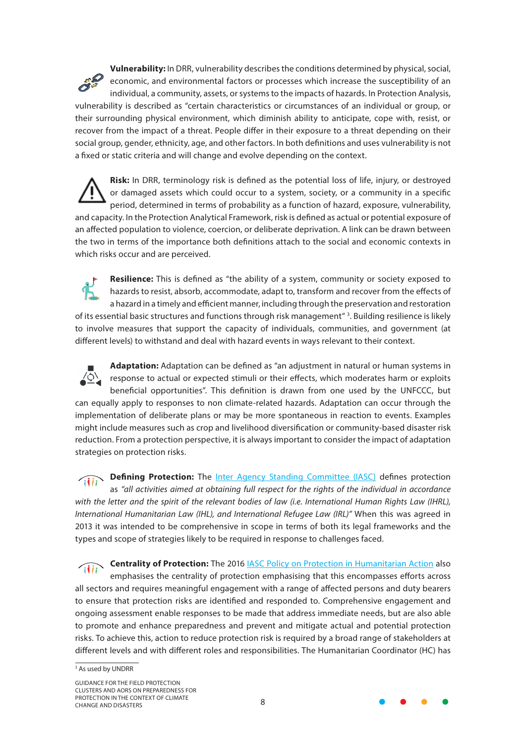**Vulnerability:** In DRR, vulnerability describes the conditions determined by physical, social, economic, and environmental factors or processes which increase the susceptibility of an individual, a community, assets, or systems to the impacts of hazards. In Protection Analysis, vulnerability is described as "certain characteristics or circumstances of an individual or group, or their surrounding physical environment, which diminish ability to anticipate, cope with, resist, or recover from the impact of a threat. People differ in their exposure to a threat depending on their social group, gender, ethnicity, age, and other factors. In both definitions and uses vulnerability is not a fixed or static criteria and will change and evolve depending on the context.

**Risk:** In DRR, terminology risk is defined as the potential loss of life, injury, or destroyed or damaged assets which could occur to a system, society, or a community in a specific period, determined in terms of probability as a function of hazard, exposure, vulnerability, and capacity. In the Protection Analytical Framework, risk is defined as actual or potential exposure of an affected population to violence, coercion, or deliberate deprivation. A link can be drawn between the two in terms of the importance both definitions attach to the social and economic contexts in which risks occur and are perceived.

**Resilience:** This is defined as "the ability of a system, community or society exposed to hazards to resist, absorb, accommodate, adapt to, transform and recover from the effects of a hazard in a timely and efficient manner, including through the preservation and restoration of its essential basic structures and functions through risk management" 3. Building resilience is likely to involve measures that support the capacity of individuals, communities, and government (at different levels) to withstand and deal with hazard events in ways relevant to their context.

**Adaptation:** Adaptation can be defined as "an adjustment in natural or human systems in response to actual or expected stimuli or their effects, which moderates harm or exploits beneficial opportunities". This definition is drawn from one used by the UNFCCC, but can equally apply to responses to non climate-related hazards. Adaptation can occur through the implementation of deliberate plans or may be more spontaneous in reaction to events. Examples might include measures such as crop and livelihood diversification or community-based disaster risk reduction. From a protection perspective, it is always important to consider the impact of adaptation strategies on protection risks.

**Defining Protection:** The <u>[Inter Agency Standing Committee \(IASC\)](https://interagencystandingcommittee.org/the-inter-agency-standing-committee)</u> defines protection as *"all activities aimed at obtaining full respect for the rights of the individual in accordance with the letter and the spirit of the relevant bodies of law (i.e. International Human Rights Law (IHRL), International Humanitarian Law (IHL), and International Refugee Law (IRL)"* When this was agreed in 2013 it was intended to be comprehensive in scope in terms of both its legal frameworks and the types and scope of strategies likely to be required in response to challenges faced.

**Centrality of Protection:** The 2016 [IASC Policy on Protection in Humanitarian Action](https://interagencystandingcommittee.org/iasc-protection-priority-global-protection-cluster/iasc-policy-protection-humanitarian-action-2016) also emphasises the centrality of protection emphasising that this encompasses efforts across all sectors and requires meaningful engagement with a range of affected persons and duty bearers to ensure that protection risks are identified and responded to. Comprehensive engagement and ongoing assessment enable responses to be made that address immediate needs, but are also able to promote and enhance preparedness and prevent and mitigate actual and potential protection risks. To achieve this, action to reduce protection risk is required by a broad range of stakeholders at different levels and with different roles and responsibilities. The Humanitarian Coordinator (HC) has



<sup>&</sup>lt;sup>3</sup> As used by UNDRR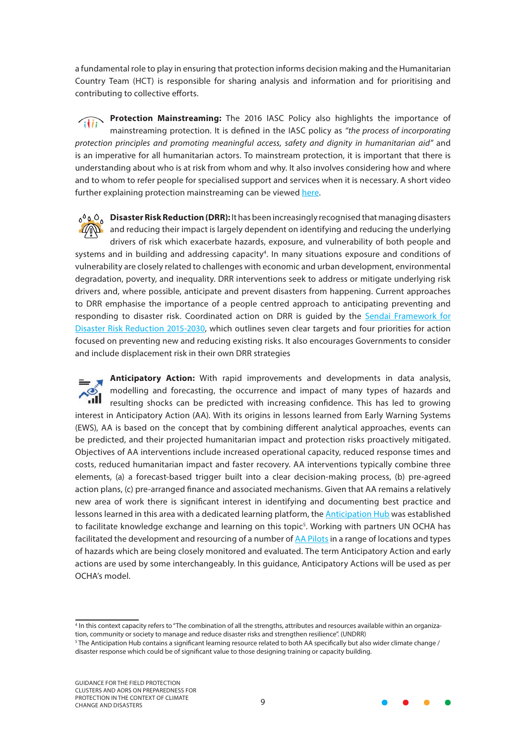a fundamental role to play in ensuring that protection informs decision making and the Humanitarian Country Team (HCT) is responsible for sharing analysis and information and for prioritising and contributing to collective efforts.

**Protection Mainstreaming:** The 2016 IASC Policy also highlights the importance of mainstreaming protection. It is defined in the IASC policy as *"the process of incorporating protection principles and promoting meaningful access, safety and dignity in humanitarian aid"* and is an imperative for all humanitarian actors. To mainstream protection, it is important that there is understanding about who is at risk from whom and why. It also involves considering how and where and to whom to refer people for specialised support and services when it is necessary. A short video further explaining protection mainstreaming can be viewed [here](https://youtu.be/W01dgbxpyOU).

**Disaster Risk Reduction (DRR):** It has been increasingly recognised that managing disasters  $\mathbb{Z}$  and reducing their impact is largely dependent on identifying and reducing the underlying drivers of risk which exacerbate hazards, exposure, and vulnerability of both people and systems and in building and addressing capacity<sup>4</sup>. In many situations exposure and conditions of vulnerability are closely related to challenges with economic and urban development, environmental degradation, poverty, and inequality. DRR interventions seek to address or mitigate underlying risk drivers and, where possible, anticipate and prevent disasters from happening. Current approaches to DRR emphasise the importance of a people centred approach to anticipating preventing and responding to disaster risk. Coordinated action on DRR is guided by the [Sendai Framework for](https://www.undrr.org/publication/sendai-framework-disaster-risk-reduction-2015-2030) [Disaster Risk Reduction 2015-2030,](https://www.undrr.org/publication/sendai-framework-disaster-risk-reduction-2015-2030) which outlines seven clear targets and four priorities for action focused on preventing new and reducing existing risks. It also encourages Governments to consider and include displacement risk in their own DRR strategies

**Anticipatory Action:** With rapid improvements and developments in data analysis, modelling and forecasting, the occurrence and impact of many types of hazards and resulting shocks can be predicted with increasing confidence. This has led to growing interest in Anticipatory Action (AA). With its origins in lessons learned from Early Warning Systems (EWS), AA is based on the concept that by combining different analytical approaches, events can be predicted, and their projected humanitarian impact and protection risks proactively mitigated. Objectives of AA interventions include increased operational capacity, reduced response times and costs, reduced humanitarian impact and faster recovery. AA interventions typically combine three elements, (a) a forecast-based trigger built into a clear decision-making process, (b) pre-agreed action plans, (c) pre-arranged finance and associated mechanisms. Given that AA remains a relatively new area of work there is significant interest in identifying and documenting best practice and lessons learned in this area with a dedicated learning platform, the **Anticipation Hub** was established to facilitate knowledge exchange and learning on this topic<sup>5</sup>. Working with partners UN OCHA has facilitated the development and resourcing of a number of [AA Pilots](https://www.unocha.org/our-work/humanitarian-financing/anticipatory-action) in a range of locations and types of hazards which are being closely monitored and evaluated. The term Anticipatory Action and early actions are used by some interchangeably. In this guidance, Anticipatory Actions will be used as per OCHA's model.



<sup>4</sup> In this context capacity refers to "The combination of all the strengths, attributes and resources available within an organization, community or society to manage and reduce disaster risks and strengthen resilience". (UNDRR)

<sup>5</sup> The Anticipation Hub contains a significant learning resource related to both AA specifically but also wider climate change / disaster response which could be of significant value to those designing training or capacity building.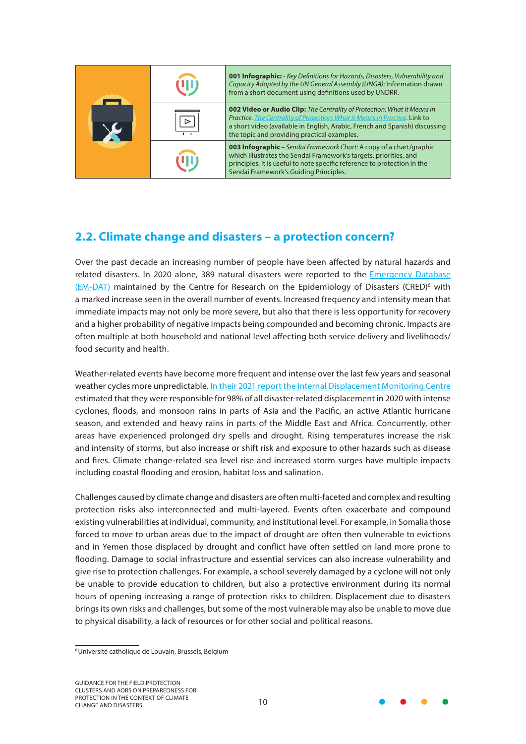<span id="page-9-0"></span>

| ىك |   | <b>001 Infographic:</b> - Key Definitions for Hazards, Disasters, Vulnerability and<br>Capacity Adopted by the UN General Assembly (UNGA): Information drawn<br>from a short document using definitions used by UNDRR.                                                              |
|----|---|-------------------------------------------------------------------------------------------------------------------------------------------------------------------------------------------------------------------------------------------------------------------------------------|
|    | ⊳ | 002 Video or Audio Clip: The Centrality of Protection: What it Means in<br>Practice. The Centrality of Protection: What it Means in Practice. Link to<br>a short video (available in English, Arabic, French and Spanish) discussing<br>the topic and providing practical examples. |
|    |   | <b>003 Infographic</b> – Sendai Framework Chart: A copy of a chart/graphic<br>which illustrates the Sendai Framework's targets, priorities, and<br>principles. It is useful to note specific reference to protection in the<br>Sendai Framework's Guiding Principles.               |

## **2.2. Climate change and disasters – a protection concern?**

Over the past decade an increasing number of people have been affected by natural hazards and related disasters. In 2020 alone, 389 natural disasters were reported to the [Emergency Database](https://www.cred.be/projects/EM-DAT) [\(EM-DAT\)](https://www.cred.be/projects/EM-DAT) maintained by the Centre for Research on the Epidemiology of Disasters (CRED)<sup>6</sup> with a marked increase seen in the overall number of events. Increased frequency and intensity mean that immediate impacts may not only be more severe, but also that there is less opportunity for recovery and a higher probability of negative impacts being compounded and becoming chronic. Impacts are often multiple at both household and national level affecting both service delivery and livelihoods/ food security and health.

Weather-related events have become more frequent and intense over the last few years and seasonal weather cycles more unpredictable. [In their 2021 report the Internal Displacement Monitoring Centre](https://www.internal-displacement.org/global-report/grid2021/) estimated that they were responsible for 98% of all disaster-related displacement in 2020 with intense cyclones, floods, and monsoon rains in parts of Asia and the Pacific, an active Atlantic hurricane season, and extended and heavy rains in parts of the Middle East and Africa. Concurrently, other areas have experienced prolonged dry spells and drought. Rising temperatures increase the risk and intensity of storms, but also increase or shift risk and exposure to other hazards such as disease and fires. Climate change-related sea level rise and increased storm surges have multiple impacts including coastal flooding and erosion, habitat loss and salination.

Challenges caused by climate change and disasters are often multi-faceted and complex and resulting protection risks also interconnected and multi-layered. Events often exacerbate and compound existing vulnerabilities at individual, community, and institutional level. For example, in Somalia those forced to move to urban areas due to the impact of drought are often then vulnerable to evictions and in Yemen those displaced by drought and conflict have often settled on land more prone to flooding. Damage to social infrastructure and essential services can also increase vulnerability and give rise to protection challenges. For example, a school severely damaged by a cyclone will not only be unable to provide education to children, but also a protective environment during its normal hours of opening increasing a range of protection risks to children. Displacement due to disasters brings its own risks and challenges, but some of the most vulnerable may also be unable to move due to physical disability, a lack of resources or for other social and political reasons.



<sup>6</sup> Université catholique de Louvain, Brussels, Belgium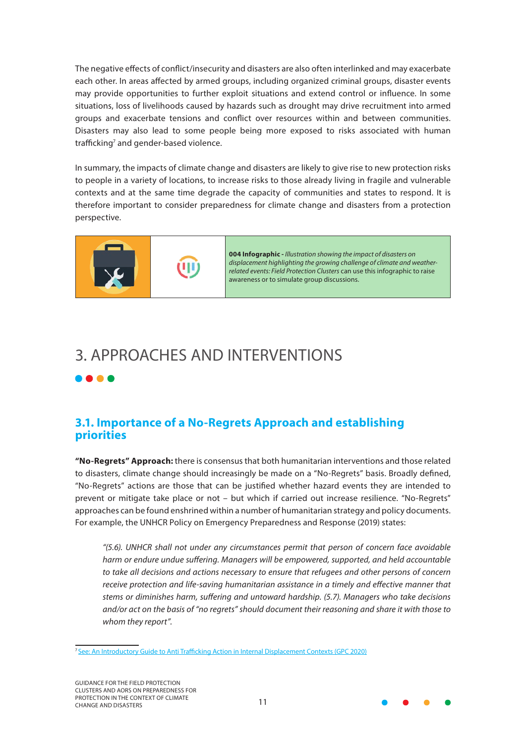<span id="page-10-0"></span>The negative effects of conflict/insecurity and disasters are also often interlinked and may exacerbate each other. In areas affected by armed groups, including organized criminal groups, disaster events may provide opportunities to further exploit situations and extend control or influence. In some situations, loss of livelihoods caused by hazards such as drought may drive recruitment into armed groups and exacerbate tensions and conflict over resources within and between communities. Disasters may also lead to some people being more exposed to risks associated with human trafficking<sup>7</sup> and gender-based violence.

In summary, the impacts of climate change and disasters are likely to give rise to new protection risks to people in a variety of locations, to increase risks to those already living in fragile and vulnerable contexts and at the same time degrade the capacity of communities and states to respond. It is therefore important to consider preparedness for climate change and disasters from a protection perspective.



**004 Infographic -** *Illustration showing the impact of disasters on displacement highlighting the growing challenge of climate and weatherrelated events: Field Protection Clusters* can use this infographic to raise awareness or to simulate group discussions.

# 3. APPROACHES AND INTERVENTIONS

#### . . . .

## **3.1. Importance of a No-Regrets Approach and establishing priorities**

**"No-Regrets" Approach:** there is consensus that both humanitarian interventions and those related to disasters, climate change should increasingly be made on a "No-Regrets" basis. Broadly defined, "No-Regrets" actions are those that can be justified whether hazard events they are intended to prevent or mitigate take place or not – but which if carried out increase resilience. "No-Regrets" approaches can be found enshrined within a number of humanitarian strategy and policy documents. For example, the UNHCR Policy on Emergency Preparedness and Response (2019) states:

*"(5.6). UNHCR shall not under any circumstances permit that person of concern face avoidable harm or endure undue suffering. Managers will be empowered, supported, and held accountable to take all decisions and actions necessary to ensure that refugees and other persons of concern receive protection and life-saving humanitarian assistance in a timely and effective manner that stems or diminishes harm, suffering and untoward hardship. (5.7). Managers who take decisions and/or act on the basis of "no regrets" should document their reasoning and share it with those to whom they report".*



<sup>&</sup>lt;sup>7</sup> [See: An Introductory Guide to Anti Trafficking Action in Internal Displacement Contexts \(GPC 2020\)](https://www.globalprotectioncluster.org/wp-content/uploads/Introductory-Guide-on-Anti-Trafficking-in-IDP-Contexts_2020_FINAL-1.pdf
)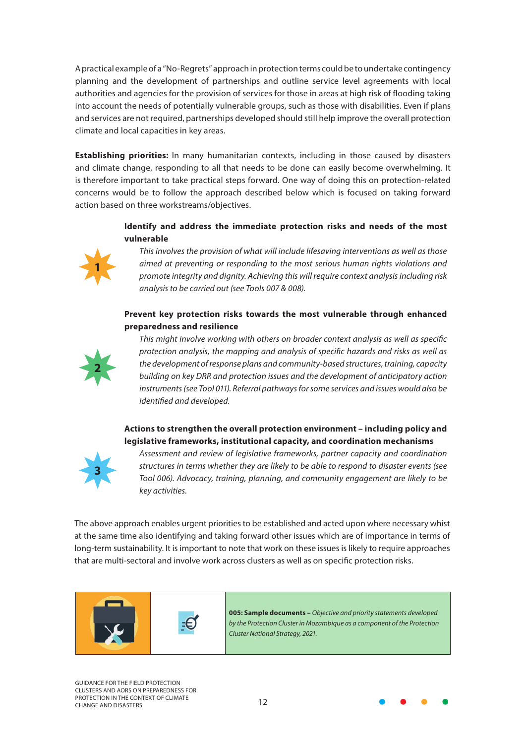A practical example of a "No-Regrets" approach in protection terms could be to undertake contingency planning and the development of partnerships and outline service level agreements with local authorities and agencies for the provision of services for those in areas at high risk of flooding taking into account the needs of potentially vulnerable groups, such as those with disabilities. Even if plans and services are not required, partnerships developed should still help improve the overall protection climate and local capacities in key areas.

**Establishing priorities:** In many humanitarian contexts, including in those caused by disasters and climate change, responding to all that needs to be done can easily become overwhelming. It is therefore important to take practical steps forward. One way of doing this on protection-related concerns would be to follow the approach described below which is focused on taking forward action based on three workstreams/objectives.

#### **Identify and address the immediate protection risks and needs of the most vulnerable**



*This involves the provision of what will include lifesaving interventions as well as those aimed at preventing or responding to the most serious human rights violations and promote integrity and dignity. Achieving this will require context analysis including risk analysis to be carried out (see Tools 007 & 008).*

#### **Prevent key protection risks towards the most vulnerable through enhanced preparedness and resilience**



*This might involve working with others on broader context analysis as well as specific protection analysis, the mapping and analysis of specific hazards and risks as well as the development of response plans and community-based structures, training, capacity building on key DRR and protection issues and the development of anticipatory action instruments (see Tool 011). Referral pathways for some services and issues would also be identified and developed.*

#### **Actions to strengthen the overall protection environment – including policy and legislative frameworks, institutional capacity, and coordination mechanisms**



*Assessment and review of legislative frameworks, partner capacity and coordination structures in terms whether they are likely to be able to respond to disaster events (see Tool 006). Advocacy, training, planning, and community engagement are likely to be key activities.*

The above approach enables urgent priorities to be established and acted upon where necessary whist at the same time also identifying and taking forward other issues which are of importance in terms of long-term sustainability. It is important to note that work on these issues is likely to require approaches that are multi-sectoral and involve work across clusters as well as on specific protection risks.



**005: Sample documents –** *Objective and priority statements developed by the Protection Cluster in Mozambique as a component of the Protection Cluster National Strategy, 2021.*

GUIDANCE FOR THE FIELD PROTECTION CLUSTERS AND AORS ON PREPAREDNESS FOR PROTECTION IN THE CONTEXT OF CLIMATE PROTECTION IN THE CONTEXT OF CLIMATE<br>CHANGE AND DISASTERS 12

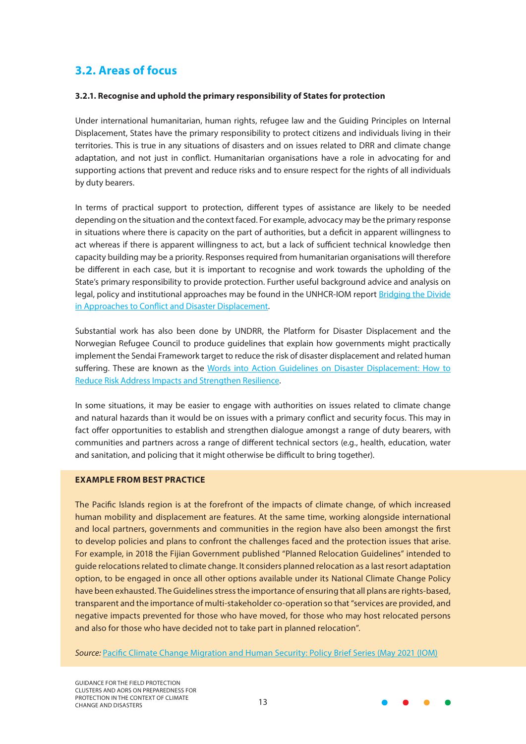## <span id="page-12-0"></span>**3.2. Areas of focus**

#### **3.2.1. Recognise and uphold the primary responsibility of States for protection**

Under international humanitarian, human rights, refugee law and the Guiding Principles on Internal Displacement, States have the primary responsibility to protect citizens and individuals living in their territories. This is true in any situations of disasters and on issues related to DRR and climate change adaptation, and not just in conflict. Humanitarian organisations have a role in advocating for and supporting actions that prevent and reduce risks and to ensure respect for the rights of all individuals by duty bearers.

In terms of practical support to protection, different types of assistance are likely to be needed depending on the situation and the context faced. For example, advocacy may be the primary response in situations where there is capacity on the part of authorities, but a deficit in apparent willingness to act whereas if there is apparent willingness to act, but a lack of sufficient technical knowledge then capacity building may be a priority. Responses required from humanitarian organisations will therefore be different in each case, but it is important to recognise and work towards the upholding of the State's primary responsibility to provide protection. Further useful background advice and analysis on legal, policy and institutional approaches may be found in the UNHCR-IOM report [Bridging the Divide](https://www.globalprotectioncluster.org/wp-content/uploads/Bridging-the-Divide-SYNTHESIS-REPORT-with-ANNEXES-2021.pdf) [in Approaches to Conflict and Disaster Displacement](https://www.globalprotectioncluster.org/wp-content/uploads/Bridging-the-Divide-SYNTHESIS-REPORT-with-ANNEXES-2021.pdf).

Substantial work has also been done by UNDRR, the Platform for Disaster Displacement and the Norwegian Refugee Council to produce guidelines that explain how governments might practically implement the Sendai Framework target to reduce the risk of disaster displacement and related human suffering. These are known as the [Words into Action Guidelines on Disaster Displacement: How to](https://www.undrr.org/publication/words-action-guidelines-disaster-displacement 
) [Reduce Risk Address Impacts and Strengthen Resilience](https://www.undrr.org/publication/words-action-guidelines-disaster-displacement 
).

In some situations, it may be easier to engage with authorities on issues related to climate change and natural hazards than it would be on issues with a primary conflict and security focus. This may in fact offer opportunities to establish and strengthen dialogue amongst a range of duty bearers, with communities and partners across a range of different technical sectors (e.g., health, education, water and sanitation, and policing that it might otherwise be difficult to bring together).

#### **EXAMPLE FROM BEST PRACTICE**

The Pacific Islands region is at the forefront of the impacts of climate change, of which increased human mobility and displacement are features. At the same time, working alongside international and local partners, governments and communities in the region have also been amongst the first to develop policies and plans to confront the challenges faced and the protection issues that arise. For example, in 2018 the Fijian Government published "Planned Relocation Guidelines" intended to guide relocations related to climate change. It considers planned relocation as a last resort adaptation option, to be engaged in once all other options available under its National Climate Change Policy have been exhausted. The Guidelines stress the importance of ensuring that all plans are rights-based, transparent and the importance of multi-stakeholder co-operation so that "services are provided, and negative impacts prevented for those who have moved, for those who may host relocated persons and also for those who have decided not to take part in planned relocation".

*Source:* [Pacific Climate Change Migration and Human Security: Policy Brief Series \(May 2021 \(IOM\)](https://publications.iom.int/books/pacific-climate-change-migration-and-human-security-policy-brief-series)

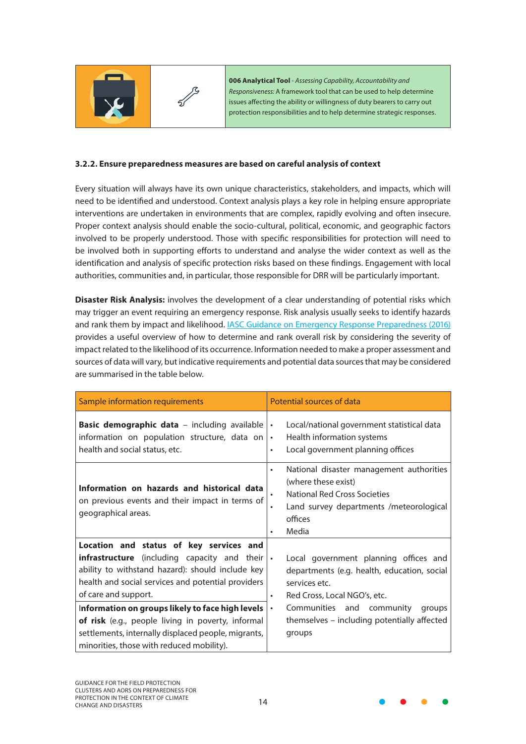<span id="page-13-0"></span>

**006 Analytical Tool** - *Assessing Capability, Accountability and Responsiveness:* A framework tool that can be used to help determine issues affecting the ability or willingness of duty bearers to carry out protection responsibilities and to help determine strategic responses.

#### **3.2.2. Ensure preparedness measures are based on careful analysis of context**

Every situation will always have its own unique characteristics, stakeholders, and impacts, which will need to be identified and understood. Context analysis plays a key role in helping ensure appropriate interventions are undertaken in environments that are complex, rapidly evolving and often insecure. Proper context analysis should enable the socio-cultural, political, economic, and geographic factors involved to be properly understood. Those with specific responsibilities for protection will need to be involved both in supporting efforts to understand and analyse the wider context as well as the identification and analysis of specific protection risks based on these findings. Engagement with local authorities, communities and, in particular, those responsible for DRR will be particularly important.

**Disaster Risk Analysis:** involves the development of a clear understanding of potential risks which may trigger an event requiring an emergency response. Risk analysis usually seeks to identify hazards and rank them by impact and likelihood. [IASC Guidance on Emergency Response Preparedness \(2016\)](https://interagencystandingcommittee.org/system/files/2020-11/IASC Emergency Response Preparedness Guidelines%2C July 2015 %5BDraft for field testing%5D.pdf) provides a useful overview of how to determine and rank overall risk by considering the severity of impact related to the likelihood of its occurrence. Information needed to make a proper assessment and sources of data will vary, but indicative requirements and potential data sources that may be considered are summarised in the table below.

| Sample information requirements                                                                                                                                                                                                                                                                                                                                                                                                               | Potential sources of data                                                                                                                                                                                                                                       |
|-----------------------------------------------------------------------------------------------------------------------------------------------------------------------------------------------------------------------------------------------------------------------------------------------------------------------------------------------------------------------------------------------------------------------------------------------|-----------------------------------------------------------------------------------------------------------------------------------------------------------------------------------------------------------------------------------------------------------------|
| <b>Basic demographic data</b> - including available<br>information on population structure, data on<br>health and social status, etc.                                                                                                                                                                                                                                                                                                         | Local/national government statistical data<br>$\bullet$<br>Health information systems<br>$\bullet$<br>Local government planning offices<br>٠                                                                                                                    |
| Information on hazards and historical data<br>on previous events and their impact in terms of<br>geographical areas.                                                                                                                                                                                                                                                                                                                          | National disaster management authorities<br>٠<br>(where these exist)<br>National Red Cross Societies<br>Land survey departments /meteorological<br>offices<br>Media<br>٠                                                                                        |
| Location and status of key services and<br><b>infrastructure</b> (including capacity and their<br>ability to withstand hazard): should include key<br>health and social services and potential providers<br>of care and support.<br>Information on groups likely to face high levels<br>of risk (e.g., people living in poverty, informal<br>settlements, internally displaced people, migrants,<br>minorities, those with reduced mobility). | Local government planning offices and<br>$\bullet$<br>departments (e.g. health, education, social<br>services etc.<br>Red Cross, Local NGO's, etc.<br>Communities and community<br>groups<br>$\bullet$<br>themselves - including potentially affected<br>groups |

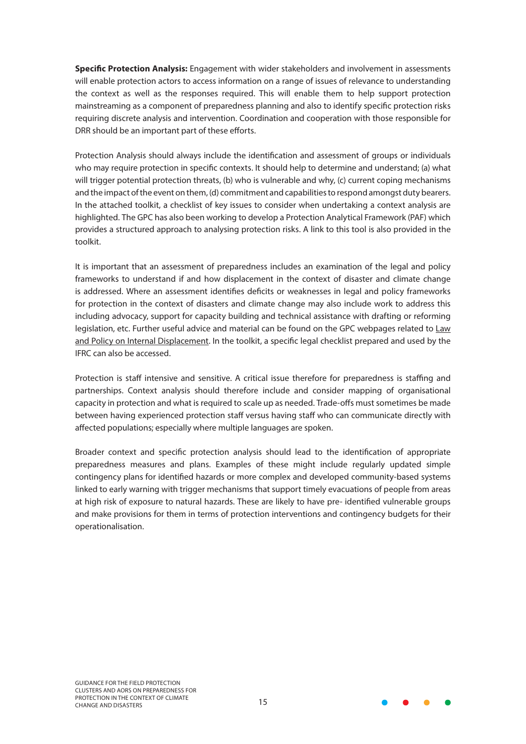**Specific Protection Analysis:** Engagement with wider stakeholders and involvement in assessments will enable protection actors to access information on a range of issues of relevance to understanding the context as well as the responses required. This will enable them to help support protection mainstreaming as a component of preparedness planning and also to identify specific protection risks requiring discrete analysis and intervention. Coordination and cooperation with those responsible for DRR should be an important part of these efforts.

Protection Analysis should always include the identification and assessment of groups or individuals who may require protection in specific contexts. It should help to determine and understand; (a) what will trigger potential protection threats, (b) who is vulnerable and why, (c) current coping mechanisms and the impact of the event on them, (d) commitment and capabilities to respond amongst duty bearers. In the attached toolkit, a checklist of key issues to consider when undertaking a context analysis are highlighted. The GPC has also been working to develop a Protection Analytical Framework (PAF) which provides a structured approach to analysing protection risks. A link to this tool is also provided in the toolkit.

It is important that an assessment of preparedness includes an examination of the legal and policy frameworks to understand if and how displacement in the context of disaster and climate change is addressed. Where an assessment identifies deficits or weaknesses in legal and policy frameworks for protection in the context of disasters and climate change may also include work to address this including advocacy, support for capacity building and technical assistance with drafting or reforming legislation, etc. Further useful advice and material can be found on the GPC webpages related to Law and Policy on Internal Displacement. In the toolkit, a specific legal checklist prepared and used by the IFRC can also be accessed.

Protection is staff intensive and sensitive. A critical issue therefore for preparedness is staffing and partnerships. Context analysis should therefore include and consider mapping of organisational capacity in protection and what is required to scale up as needed. Trade-offs must sometimes be made between having experienced protection staff versus having staff who can communicate directly with affected populations; especially where multiple languages are spoken.

Broader context and specific protection analysis should lead to the identification of appropriate preparedness measures and plans. Examples of these might include regularly updated simple contingency plans for identified hazards or more complex and developed community-based systems linked to early warning with trigger mechanisms that support timely evacuations of people from areas at high risk of exposure to natural hazards. These are likely to have pre- identified vulnerable groups and make provisions for them in terms of protection interventions and contingency budgets for their operationalisation.

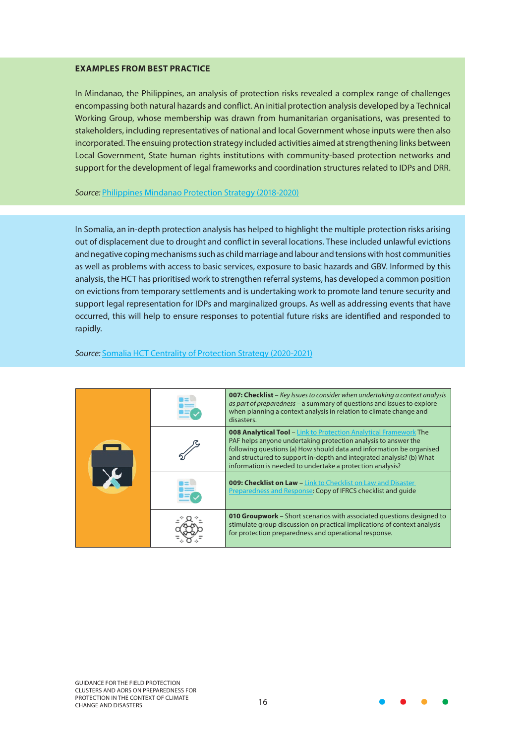#### **EXAMPLES FROM BEST PRACTICE**

In Mindanao, the Philippines, an analysis of protection risks revealed a complex range of challenges encompassing both natural hazards and conflict. An initial protection analysis developed by a Technical Working Group, whose membership was drawn from humanitarian organisations, was presented to stakeholders, including representatives of national and local Government whose inputs were then also incorporated. The ensuing protection strategy included activities aimed at strengthening links between Local Government, State human rights institutions with community-based protection networks and support for the development of legal frameworks and coordination structures related to IDPs and DRR.

#### *Source:* [Philippines Mindanao Protection Strategy \(2018-2020\)](https://www.globalprotectioncluster.org/wp-content/uploads/HCT_ProStrat_Philippines_Mindanao_2018-2020.pdf)

In Somalia, an in-depth protection analysis has helped to highlight the multiple protection risks arising out of displacement due to drought and conflict in several locations. These included unlawful evictions and negative coping mechanisms such as child marriage and labour and tensions with host communities as well as problems with access to basic services, exposure to basic hazards and GBV. Informed by this analysis, the HCT has prioritised work to strengthen referral systems, has developed a common position on evictions from temporary settlements and is undertaking work to promote land tenure security and support legal representation for IDPs and marginalized groups. As well as addressing events that have occurred, this will help to ensure responses to potential future risks are identified and responded to rapidly.

#### *Source:* [Somalia HCT Centrality of Protection Strategy \(2020-2021\)](https://www.globalprotectioncluster.org/wp-content/uploads/Somalia-HCT-Centrality-of-Protection-Strategy_2020-2021_Final.pdf)

|  | <b>007: Checklist</b> – Key Issues to consider when undertaking a context analysis<br>as part of preparedness – a summary of questions and issues to explore<br>when planning a context analysis in relation to climate change and<br>disasters.                                                                                                        |
|--|---------------------------------------------------------------------------------------------------------------------------------------------------------------------------------------------------------------------------------------------------------------------------------------------------------------------------------------------------------|
|  | <b>008 Analytical Tool</b> - Link to Protection Analytical Framework The<br>PAF helps anyone undertaking protection analysis to answer the<br>following questions (a) How should data and information be organised<br>and structured to support in-depth and integrated analysis? (b) What<br>information is needed to undertake a protection analysis? |
|  | <b>009: Checklist on Law</b> - Link to Checklist on Law and Disaster<br><b>Preparedness and Response: Copy of IFRCS checklist and quide</b>                                                                                                                                                                                                             |
|  | <b>010 Groupwork</b> – Short scenarios with associated questions designed to<br>stimulate group discussion on practical implications of context analysis<br>for protection preparedness and operational response.                                                                                                                                       |

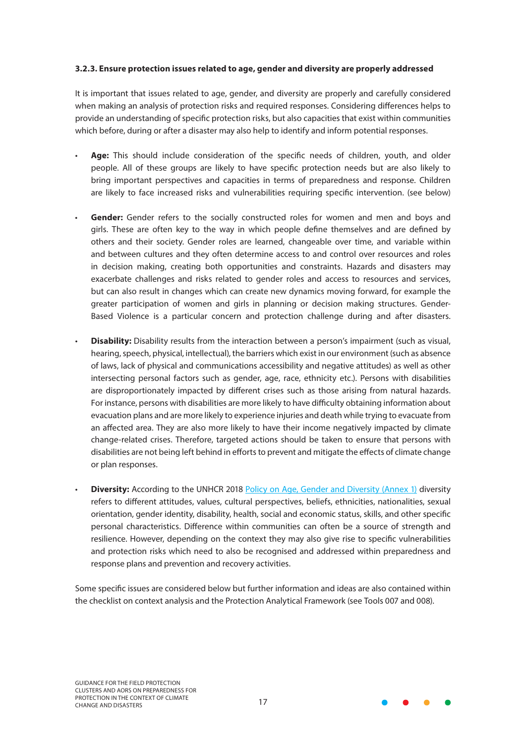#### <span id="page-16-0"></span>**3.2.3. Ensure protection issues related to age, gender and diversity are properly addressed**

It is important that issues related to age, gender, and diversity are properly and carefully considered when making an analysis of protection risks and required responses. Considering differences helps to provide an understanding of specific protection risks, but also capacities that exist within communities which before, during or after a disaster may also help to identify and inform potential responses.

- **Age:** This should include consideration of the specific needs of children, youth, and older people. All of these groups are likely to have specific protection needs but are also likely to bring important perspectives and capacities in terms of preparedness and response. Children are likely to face increased risks and vulnerabilities requiring specific intervention. (see below)
- Gender: Gender refers to the socially constructed roles for women and men and boys and girls. These are often key to the way in which people define themselves and are defined by others and their society. Gender roles are learned, changeable over time, and variable within and between cultures and they often determine access to and control over resources and roles in decision making, creating both opportunities and constraints. Hazards and disasters may exacerbate challenges and risks related to gender roles and access to resources and services, but can also result in changes which can create new dynamics moving forward, for example the greater participation of women and girls in planning or decision making structures. Gender-Based Violence is a particular concern and protection challenge during and after disasters.
- **Disability:** Disability results from the interaction between a person's impairment (such as visual, hearing, speech, physical, intellectual), the barriers which exist in our environment (such as absence of laws, lack of physical and communications accessibility and negative attitudes) as well as other intersecting personal factors such as gender, age, race, ethnicity etc.). Persons with disabilities are disproportionately impacted by different crises such as those arising from natural hazards. For instance, persons with disabilities are more likely to have difficulty obtaining information about evacuation plans and are more likely to experience injuries and death while trying to evacuate from an affected area. They are also more likely to have their income negatively impacted by climate change-related crises. Therefore, targeted actions should be taken to ensure that persons with disabilities are not being left behind in efforts to prevent and mitigate the effects of climate change or plan responses.
- **Diversity:** According to the UNHCR 2018 [Policy on Age, Gender and Diversity \(Annex 1\)](https://www.unhcr.org/5aa13c0c7.pdf) diversity refers to different attitudes, values, cultural perspectives, beliefs, ethnicities, nationalities, sexual orientation, gender identity, disability, health, social and economic status, skills, and other specific personal characteristics. Difference within communities can often be a source of strength and resilience. However, depending on the context they may also give rise to specific vulnerabilities and protection risks which need to also be recognised and addressed within preparedness and response plans and prevention and recovery activities.

Some specific issues are considered below but further information and ideas are also contained within the checklist on context analysis and the Protection Analytical Framework (see Tools 007 and 008).

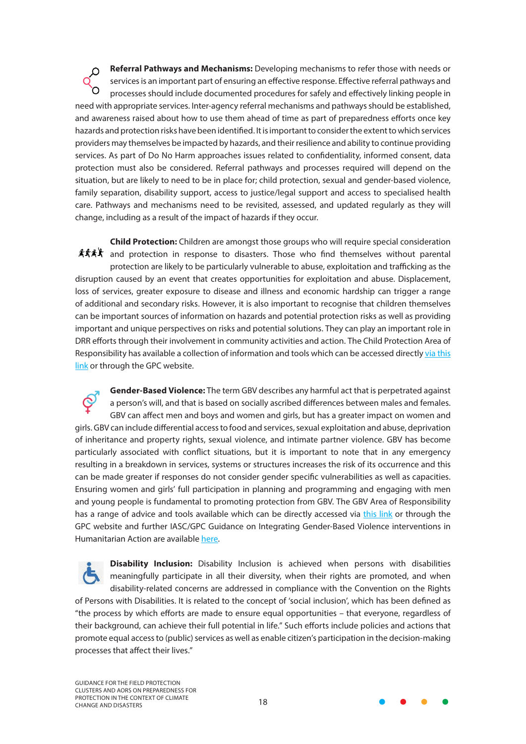**Referral Pathways and Mechanisms:** Developing mechanisms to refer those with needs or Q services is an important part of ensuring an effective response. Effective referral pathways and processes should include documented procedures for safely and effectively linking people in need with appropriate services. Inter-agency referral mechanisms and pathways should be established, and awareness raised about how to use them ahead of time as part of preparedness efforts once key hazards and protection risks have been identified. It is important to consider the extent to which services providers may themselves be impacted by hazards, and their resilience and ability to continue providing services. As part of Do No Harm approaches issues related to confidentiality, informed consent, data protection must also be considered. Referral pathways and processes required will depend on the situation, but are likely to need to be in place for; child protection, sexual and gender-based violence, family separation, disability support, access to justice/legal support and access to specialised health care. Pathways and mechanisms need to be revisited, assessed, and updated regularly as they will change, including as a result of the impact of hazards if they occur.

**Child Protection:** Children are amongst those groups who will require special consideration **套式《** and protection in response to disasters. Those who find themselves without parental protection are likely to be particularly vulnerable to abuse, exploitation and trafficking as the disruption caused by an event that creates opportunities for exploitation and abuse. Displacement, loss of services, greater exposure to disease and illness and economic hardship can trigger a range of additional and secondary risks. However, it is also important to recognise that children themselves can be important sources of information on hazards and potential protection risks as well as providing important and unique perspectives on risks and potential solutions. They can play an important role in DRR efforts through their involvement in community activities and action. The Child Protection Area of Responsibility has available a collection of information and tools which can be accessed directly [via this](https://www.cpaor.net/Starter_Pack) [link](https://www.cpaor.net/Starter_Pack) or through the GPC website.

**Gender-Based Violence:** The term GBV describes any harmful act that is perpetrated against a person's will, and that is based on socially ascribed differences between males and females. GBV can affect men and boys and women and girls, but has a greater impact on women and girls. GBV can include differential access to food and services, sexual exploitation and abuse, deprivation of inheritance and property rights, sexual violence, and intimate partner violence. GBV has become particularly associated with conflict situations, but it is important to note that in any emergency resulting in a breakdown in services, systems or structures increases the risk of its occurrence and this can be made greater if responses do not consider gender specific vulnerabilities as well as capacities. Ensuring women and girls' full participation in planning and programming and engaging with men and young people is fundamental to promoting protection from GBV. The GBV Area of Responsibility has a range of advice and tools available which can be directly accessed via [this link](https://gbvaor.net/ ) or through the GPC website and further IASC/GPC Guidance on Integrating Gender-Based Violence interventions in Humanitarian Action are available [here.](https://gbvguidelines.org/en)

**Disability Inclusion:** Disability Inclusion is achieved when persons with disabilities meaningfully participate in all their diversity, when their rights are promoted, and when disability-related concerns are addressed in compliance with the Convention on the Rights of Persons with Disabilities. It is related to the concept of 'social inclusion', which has been defined as "the process by which efforts are made to ensure equal opportunities – that everyone, regardless of their background, can achieve their full potential in life." Such efforts include policies and actions that promote equal access to (public) services as well as enable citizen's participation in the decision-making processes that affect their lives."

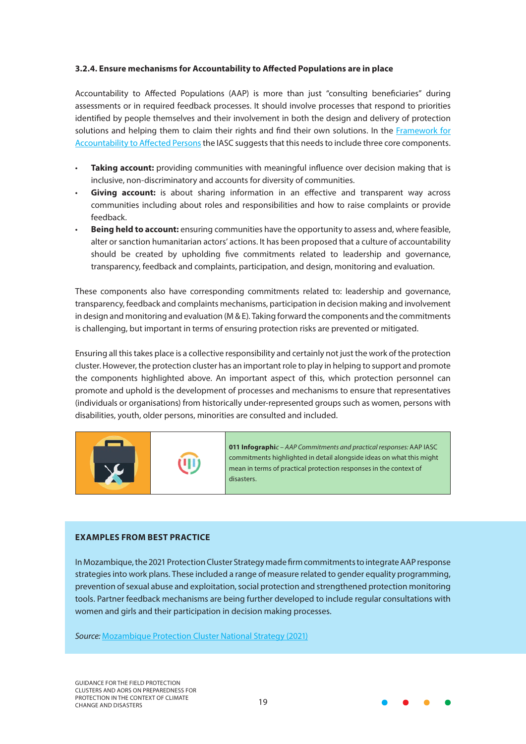#### <span id="page-18-0"></span>**3.2.4. Ensure mechanisms for Accountability to Affected Populations are in place**

Accountability to Affected Populations (AAP) is more than just "consulting beneficiaries" during assessments or in required feedback processes. It should involve processes that respond to priorities identified by people themselves and their involvement in both the design and delivery of protection solutions and helping them to claim their rights and find their own solutions. In the [Framework for](https://interagencystandingcommittee.org/system/files/iasc_aap_psea_2_pager_for_hc.pdf) [Accountability to Affected Persons](https://interagencystandingcommittee.org/system/files/iasc_aap_psea_2_pager_for_hc.pdf) the IASC suggests that this needs to include three core components.

- **Taking account:** providing communities with meaningful influence over decision making that is inclusive, non-discriminatory and accounts for diversity of communities.
- **Giving account:** is about sharing information in an effective and transparent way across communities including about roles and responsibilities and how to raise complaints or provide feedback.
- **Being held to account:** ensuring communities have the opportunity to assess and, where feasible, alter or sanction humanitarian actors' actions. It has been proposed that a culture of accountability should be created by upholding five commitments related to leadership and governance, transparency, feedback and complaints, participation, and design, monitoring and evaluation.

These components also have corresponding commitments related to: leadership and governance, transparency, feedback and complaints mechanisms, participation in decision making and involvement in design and monitoring and evaluation (M & E). Taking forward the components and the commitments is challenging, but important in terms of ensuring protection risks are prevented or mitigated.

Ensuring all this takes place is a collective responsibility and certainly not just the work of the protection cluster. However, the protection cluster has an important role to play in helping to support and promote the components highlighted above. An important aspect of this, which protection personnel can promote and uphold is the development of processes and mechanisms to ensure that representatives (individuals or organisations) from historically under-represented groups such as women, persons with disabilities, youth, older persons, minorities are consulted and included.



**011 Infographi***c – AAP Commitments and practical responses:* AAP IASC commitments highlighted in detail alongside ideas on what this might mean in terms of practical protection responses in the context of disasters.

#### **EXAMPLES FROM BEST PRACTICE**

In Mozambique, the 2021 Protection Cluster Strategy made firm commitments to integrate AAP response strategies into work plans. These included a range of measure related to gender equality programming, prevention of sexual abuse and exploitation, social protection and strengthened protection monitoring tools. Partner feedback mechanisms are being further developed to include regular consultations with women and girls and their participation in decision making processes.

*Source:* [Mozambique Protection Cluster National Strategy \(2021\)](https://www.globalprotectioncluster.org/wp-content/uploads/2021_moz_protection_cluster_strategy_final_inputs_protection_partners_jan2021.pdf)

GUIDANCE FOR THE FIELD PROTECTION CLUSTERS AND AORS ON PREPAREDNESS FOR PROTECTION IN THE CONTEXT OF CLIMATE PROTECTION IN THE CONTEXT OF CLIMATE<br>CHANGE AND DISASTERS

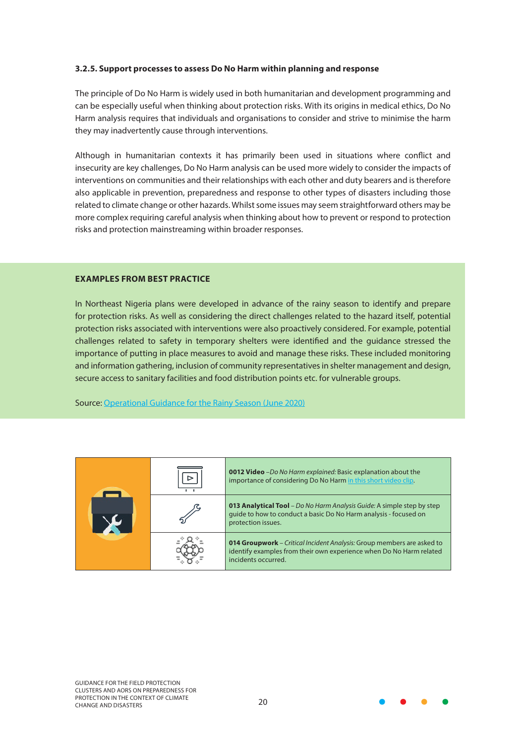#### <span id="page-19-0"></span>**3.2.5. Support processes to assess Do No Harm within planning and response**

The principle of Do No Harm is widely used in both humanitarian and development programming and can be especially useful when thinking about protection risks. With its origins in medical ethics, Do No Harm analysis requires that individuals and organisations to consider and strive to minimise the harm they may inadvertently cause through interventions.

Although in humanitarian contexts it has primarily been used in situations where conflict and insecurity are key challenges, Do No Harm analysis can be used more widely to consider the impacts of interventions on communities and their relationships with each other and duty bearers and is therefore also applicable in prevention, preparedness and response to other types of disasters including those related to climate change or other hazards. Whilst some issues may seem straightforward others may be more complex requiring careful analysis when thinking about how to prevent or respond to protection risks and protection mainstreaming within broader responses.

#### **EXAMPLES FROM BEST PRACTICE**

In Northeast Nigeria plans were developed in advance of the rainy season to identify and prepare for protection risks. As well as considering the direct challenges related to the hazard itself, potential protection risks associated with interventions were also proactively considered. For example, potential challenges related to safety in temporary shelters were identified and the guidance stressed the importance of putting in place measures to avoid and manage these risks. These included monitoring and information gathering, inclusion of community representatives in shelter management and design, secure access to sanitary facilities and food distribution points etc. for vulnerable groups.

Source: [Operational Guidance for the Rainy Season \(June 2020\)](https://reliefweb.int/sites/reliefweb.int/files/resources/psne_rainy_season_protection_guidance_june_2020.pdf)

|  | <b>0012 Video</b> -Do No Harm explained: Basic explanation about the<br>importance of considering Do No Harm in this short video clip.                                      |
|--|-----------------------------------------------------------------------------------------------------------------------------------------------------------------------------|
|  | 013 Analytical Tool - Do No Harm Analysis Guide: A simple step by step<br>quide to how to conduct a basic Do No Harm analysis - focused on<br>protection issues.            |
|  | <b>014 Groupwork</b> – Critical Incident Analysis: Group members are asked to<br>identify examples from their own experience when Do No Harm related<br>incidents occurred. |

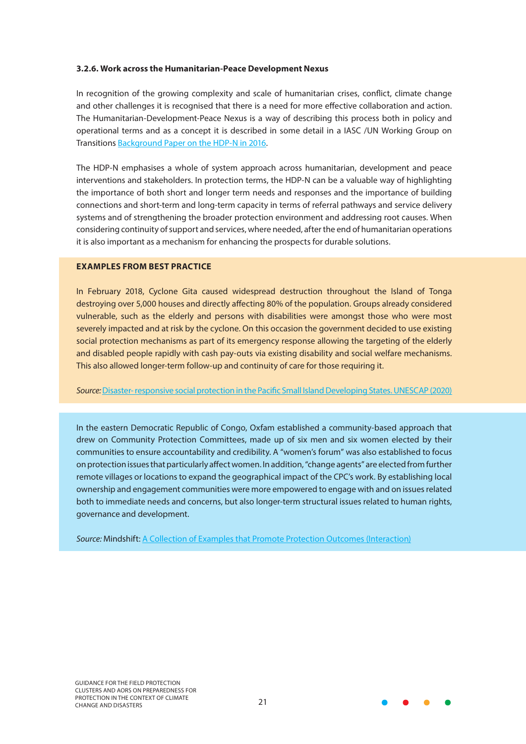#### <span id="page-20-0"></span>**3.2.6. Work across the Humanitarian-Peace Development Nexus**

In recognition of the growing complexity and scale of humanitarian crises, conflict, climate change and other challenges it is recognised that there is a need for more effective collaboration and action. The Humanitarian-Development-Peace Nexus is a way of describing this process both in policy and operational terms and as a concept it is described in some detail in a IASC /UN Working Group on Transitions [Background Paper on the HDP-N in 2016](https://www.google.com/url?sa=t&rct=j&q=&esrc=s&source=web&cd=&ved=2ahUKEwj9_JWIp6nzAhUUglwKHcSTAh0QFnoECB8QAQ&url=https%3A%2F%2Finteragencystandingcommittee.org%2Fsystem%2Ffiles%2Fpeace-hum-dev_nexus_150927_ver2.docx&usg=AOvVaw2xwsWiEH1IF3Eb6FT4Av8d).

The HDP-N emphasises a whole of system approach across humanitarian, development and peace interventions and stakeholders. In protection terms, the HDP-N can be a valuable way of highlighting the importance of both short and longer term needs and responses and the importance of building connections and short-term and long-term capacity in terms of referral pathways and service delivery systems and of strengthening the broader protection environment and addressing root causes. When considering continuity of support and services, where needed, after the end of humanitarian operations it is also important as a mechanism for enhancing the prospects for durable solutions.

#### **EXAMPLES FROM BEST PRACTICE**

In February 2018, Cyclone Gita caused widespread destruction throughout the Island of Tonga destroying over 5,000 houses and directly affecting 80% of the population. Groups already considered vulnerable, such as the elderly and persons with disabilities were amongst those who were most severely impacted and at risk by the cyclone. On this occasion the government decided to use existing social protection mechanisms as part of its emergency response allowing the targeting of the elderly and disabled people rapidly with cash pay-outs via existing disability and social welfare mechanisms. This also allowed longer-term follow-up and continuity of care for those requiring it.

#### *Source:* [Disaster- responsive social protection in the Pacific Small Island Developing States. UNESCAP \(2020\)](https://www.unescap.org/sites/default/d8files/knowledge-products/Samoa Policy Brief Issue 1_APDRN Template_0.pdf)

In the eastern Democratic Republic of Congo, Oxfam established a community-based approach that drew on Community Protection Committees, made up of six men and six women elected by their communities to ensure accountability and credibility. A "women's forum" was also established to focus on protection issues that particularly affect women. In addition, "change agents" are elected from further remote villages or locations to expand the geographical impact of the CPC's work. By establishing local ownership and engagement communities were more empowered to engage with and on issues related both to immediate needs and concerns, but also longer-term structural issues related to human rights, governance and development.

*Source:* Mindshift: [A Collection of Examples that Promote Protection Outcomes \(Interaction\)](https://www.interaction.org/wp-content/uploads/2021/06/MindShift-A-Collection-of-Examples-that-Promote-Protection-Outcomes.pdf)